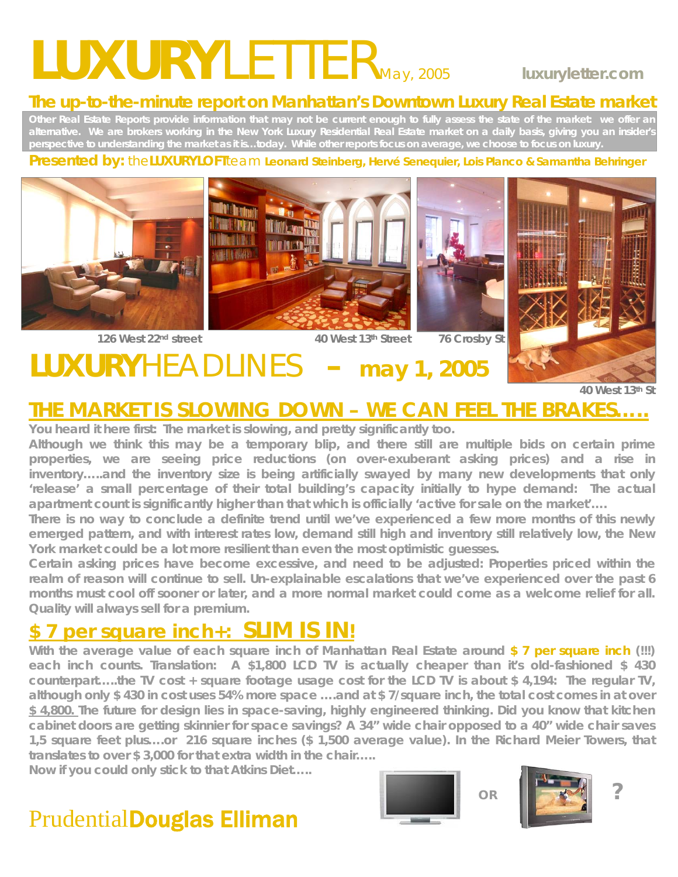# *LUXURYLETTERMay, 2005* **luxuryletter.com**

#### **The up-to-the-minute report on Manhattan's Downtown Luxury Real Estate market**

**Other Real Estate Reports provide information that may not be current enough to fully assess the state of the market: we offer an alternative. We are brokers working in the New York Luxury Residential Real Estate market on a daily basis, giving you an insider's perspective to understanding the market as it is…today. While other reports focus on average, we choose to focus on luxury.** 

#### **Presented by:** the**LUXURYLOFT**team **Leonard Steinberg, Hervé Senequier, Lois Planco & Samantha Behringer**



## 126 West 22<sup>nd</sup> street **40 West 13th Street** 76 Crosby St



## **LUXURY** HEADLINES – may 1, 2005

### **THE MARKET IS SLOWING DOWN – WE CAN** *FEEL* **THE BRAKES…..**

**You heard it here first: The market is slowing, and pretty significantly too.** 

**Although we think this may be a temporary blip, and there still are multiple bids on certain prime properties, we are seeing price reductions (on over-exuberant asking prices) and a rise in inventory…..and the inventory size is being artificially swayed by many new developments that only 'release' a small percentage of their total building's capacity initially to hype demand: The actual apartment count is significantly higher than that which is officially 'active for sale on the market'….** 

**There is no way to conclude a definite trend until we've experienced a few more months of this newly emerged pattern, and with interest rates low, demand still high and inventory still relatively low, the New York market could be a lot more resilient than even the most optimistic guesses.** 

**Certain asking prices have become excessive, and need to be adjusted: Properties priced within the realm of reason will continue to sell. Un-explainable escalations that we've experienced over the past 6 months must cool off sooner or later, and a more normal market could come as a welcome relief for all. Quality will always sell for a premium.** 

## **\$ 7 per square inch+: SLIM IS IN!**<br>With the average value of each square inch of Manhattan Real Estate around \$ 7 per square inch (!!!)

**each inch counts. Translation: A \$1,800 LCD TV is actually** *cheaper* **than it's old-fashioned \$ 430 counterpart…..the TV cost + square footage usage cost for the LCD TV is about \$ 4,194: The regular TV, although only \$ 430 in cost uses 54% more space ….and at \$ 7/square inch, the total cost comes in at over \$ 4,800. The future for design lies in space-saving, highly engineered thinking. Did you know that kitchen cabinet doors are getting skinnier for space savings? A 34" wide chair opposed to a 40" wide chair saves 1,5 square feet plus….or 216 square inches (\$ 1,500 average value). In the Richard Meier Towers, that translates to over \$ 3,000 for that extra width in the chair…..** 

**Now if you could only stick to that Atkins Diet…..** 



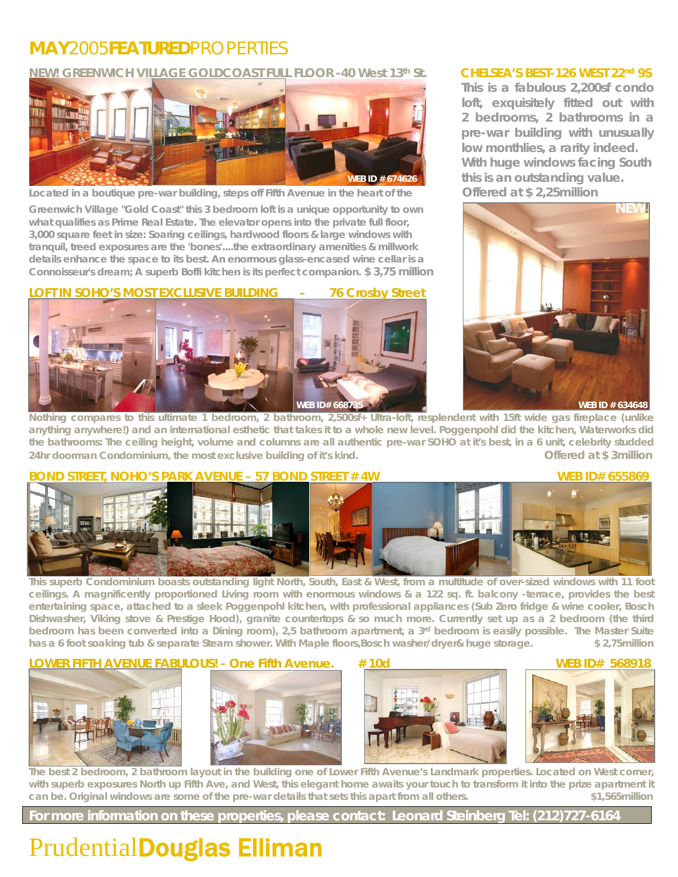#### **MAY***2005***FEATURED***PROPERTIES*

NEW! GREENWICH VILLAGE GOLDCOAST FULL FLOOR -40 West 13<sup>th</sup> St. CHELSEA'S BEST-126 WEST 22<sup>nd</sup> 9S



**Located in a boutique pre-war building, steps off Fifth Avenue in the heart of the Offered at \$ 2,25million** 

Greenwich Village "Gold Coast" this 3 bedroom loft is a unique opportunity to own NEW! **what qualifies as Prime Real Estate. The elevator opens into the private full floor, 3,000 square feet in size: Soaring ceilings, hardwood floors & large windows with tranquil, treed exposures are the 'bones'....the extraordinary amenities & millwork details enhance the space to its best. An enormous glass-encased wine cellar is a Connoisseur's dream; A superb Boffi kitchen is its perfect companion. \$ 3,75 million**

**LOFT IN SOHO'S MOST EXCLUSIVE BUILDING – 76 Crosby Street** 

**1** WEB ID # 634648 **WEB ID # 634648 WEB ID # 634648** 

 **This is a fabulous 2,200sf condo loft, exquisitely fitted out with 2 bedrooms, 2 bathrooms in a pre-war building with unusually low monthlies, a rarity indeed. With huge windows facing South WEB ID # 674626 this is an outstanding value.** 



**Nothing compares to this ultimate 1 bedroom, 2 bathroom, 2,500sf+ Ultra-loft, resplendent with 15ft wide gas fireplace (unlike anything anywhere!) and an international esthetic that takes it to a whole new level. Poggenpohl did the kitchen, Waterworks did the bathrooms: The ceiling height, volume and columns are all authentic pre-war SOHO at it's best, in a 6 unit, celebrity studded**  24hr doorman Condominium, the most exclusive building of it's kind. **Offered at \$ 3million Offered at \$ 3million** 

#### **BOND STREET, NOHO'S PARK AVENUE – 57 BOND STREET # 4W WEB ID# 655869**



**This superb Condominium boasts outstanding light North, South, East & West, from a multitude of over-sized windows with 11 foot ceilings. A magnificently proportioned Living room with enormous windows & a 122 sq. ft. balcony -terrace, provides the best entertaining space, attached to a sleek Poggenpohl kitchen, with professional appliances (Sub Zero fridge & wine cooler, Bosch Dishwasher, Viking stove & Prestige Hood), granite countertops & so much more. Currently set up as a 2 bedroom (the third**  bedroom has been converted into a Dining room), 2,5 bathroom apartment, a 3<sup>rd</sup> bedroom is easily possible. The Master Suite **has a 6 foot soaking tub & separate Steam shower. With Maple floors,Bosch washer/dryer& huge storage. \$ 2,75million** 

#### **LOWER FIFTH AVENUE FABULOUS! - One Fifth Avenue. # 10d WEB ID# 568918**









**The best 2 bedroom, 2 bathroom layout in the building one of Lower Fifth Avenue's Landmark properties. Located on West corner, with superb exposures North up Fifth Ave, and West, this elegant home awaits your touch to transform it into the prize apartment it can be. Original windows are some of the pre-war details that sets this apart from all others. \$1,565million** 

**For more information on these properties, please contact: Leonard Steinberg Tel: (212)727-6164**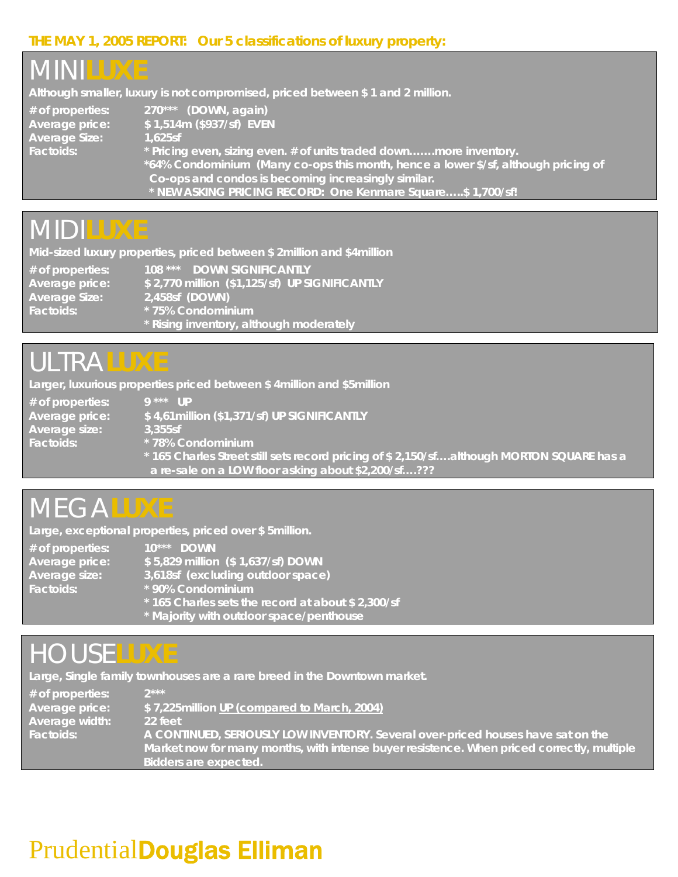#### **THE MAY 1, 2005 REPORT: Our 5 classifications of luxury property:**



### *MIDI***LUXE**

**Mid-sized luxury properties, priced between \$ 2million and \$4million** 

**# of properties: 108 \*\*\* DOWN SIGNIFICANTLY Average price: \$ 2,770 million (\$1,125/sf) UP SIGNIFICANTLY Average Size: 2,458sf (DOWN) Factoids: \* 75% Condominium \* Rising inventory, although moderately** 

### *ULTRA***LUXE**

**Larger, luxurious properties priced between \$ 4million and \$5million** 

| $#$ of properties: | $9***$ IID                                                                                |
|--------------------|-------------------------------------------------------------------------------------------|
| Average price:     | \$4,61 million (\$1,371/sf) UP SIGNIFICANTLY                                              |
| Average size:      | 3.355sf                                                                                   |
| Factoids:          | * 78% Condominium                                                                         |
|                    | * 165 Charles Street still sets record pricing of \$ 2,150/sfalthough MORTON SQUARE has a |
|                    | a re-sale on a LOW floor <i>asking</i> about \$2,200/sf???                                |

### *MEGA***LUXE**

**Large, exceptional properties, priced over \$ 5million.** 

| # of properties: | $10^{***}$ DOWN                                  |
|------------------|--------------------------------------------------|
| Average price:   | \$5,829 million (\$1,637/sf) DOWN                |
| Average size:    | 3,618sf (excluding outdoor space)                |
| Factoids:        | * 90% Condominium                                |
|                  | *165 Charles sets the record at about \$2,300/sf |
|                  | * Majority with outdoor space/penthouse          |

### *HOUSE***LUXE**

**Large, Single family townhouses are a rare breed in the Downtown market.** 

| $#$ of properties: | $2***$                                                                                        |
|--------------------|-----------------------------------------------------------------------------------------------|
| Average price:     | \$7,225 million UP (compared to March, 2004)                                                  |
| Average width:     | 22 feet                                                                                       |
| Factoids:          | $\overline{A}$ CONTINUED, SERIOUSLY LOW INVENTORY. Several over-priced houses have sat on the |
|                    | Market now for many months, with intense buyer resistence. When priced correctly, multiple,   |
|                    | Bidders are expected.                                                                         |